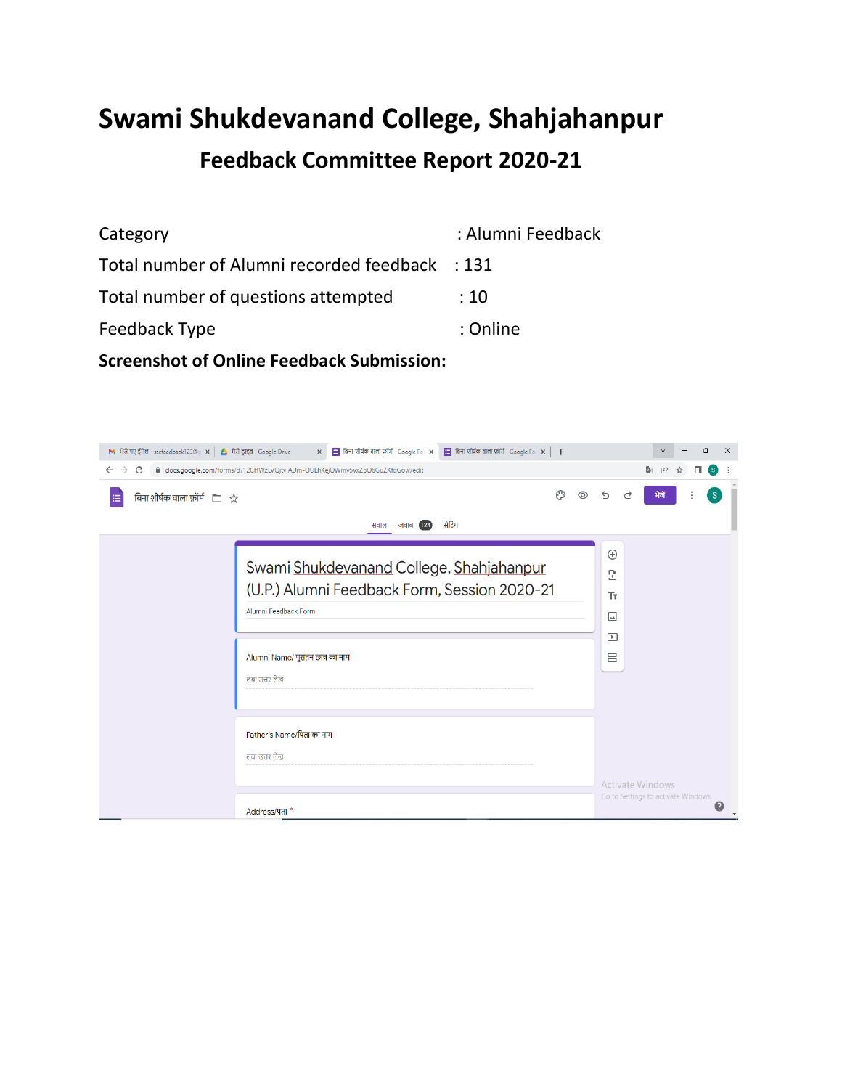# **Swami Shukdevanand College, Shahjahanpur Feedback Committee Report 2020-21**

Category **Category** : Alumni Feedback Total number of Alumni recorded feedback : 131 Total number of questions attempted : 10 Feedback Type in the set of the set of the set of the set of the set of the set of the set of the set of the set of the set of the set of the set of the set of the set of the set of the set of the set of the set of the set

**Screenshot of Online Feedback Submission:**

| M भेजे गए ईमेल - sscfeedback123@g ×   △ मेरी ड्राइव - Google Drive | $\mathbf{x}$ $\mathbf{B}$ बिना शीर्षक वाला फ़ॉर्म - Google For $\mathbf{x}$ $\mathbf{B}$ बिना शीर्षक वाला फ़ॉर्म - Google For $\mathbf{x}$ $\mathbf{+}$ |                     | O<br>$\times$<br>$\checkmark$            |
|--------------------------------------------------------------------|---------------------------------------------------------------------------------------------------------------------------------------------------------|---------------------|------------------------------------------|
| C<br>$\leftarrow$ $\rightarrow$                                    | docs.google.com/forms/d/12CHWzLVQjtvlAUm-QULhKejQWmv5vxZpQ6GuZKfqGow/edit                                                                               |                     | C.<br>$\overrightarrow{P}$<br>'s'        |
| बिना शीर्षक वाला फ़ॉर्म $\Box \rightsquigarrow$                    | ⊙<br>सेटिंग<br>जवाब $(124)$<br>सवाल                                                                                                                     |                     | <sub>S</sub><br>भेजें                    |
|                                                                    | Swami Shukdevanand College, Shahjahanpur                                                                                                                | $\bigoplus$<br>Э    |                                          |
|                                                                    | (U.P.) Alumni Feedback Form, Session 2020-21<br>Alumni Feedback Form                                                                                    | Tr.<br>$\Box$       |                                          |
|                                                                    | Alumni Name/ पुरातन छात्र का नाम                                                                                                                        | $\overline{P}$<br>吕 |                                          |
|                                                                    | लंबा उत्तर लेख                                                                                                                                          |                     |                                          |
|                                                                    | Father's Name/पिता का नाम<br>लंबा उत्तर लेख                                                                                                             |                     |                                          |
|                                                                    |                                                                                                                                                         |                     | <b>Activate Windows</b>                  |
|                                                                    | Address/पता*                                                                                                                                            |                     | Go to Settings to activate Windows.<br>Ø |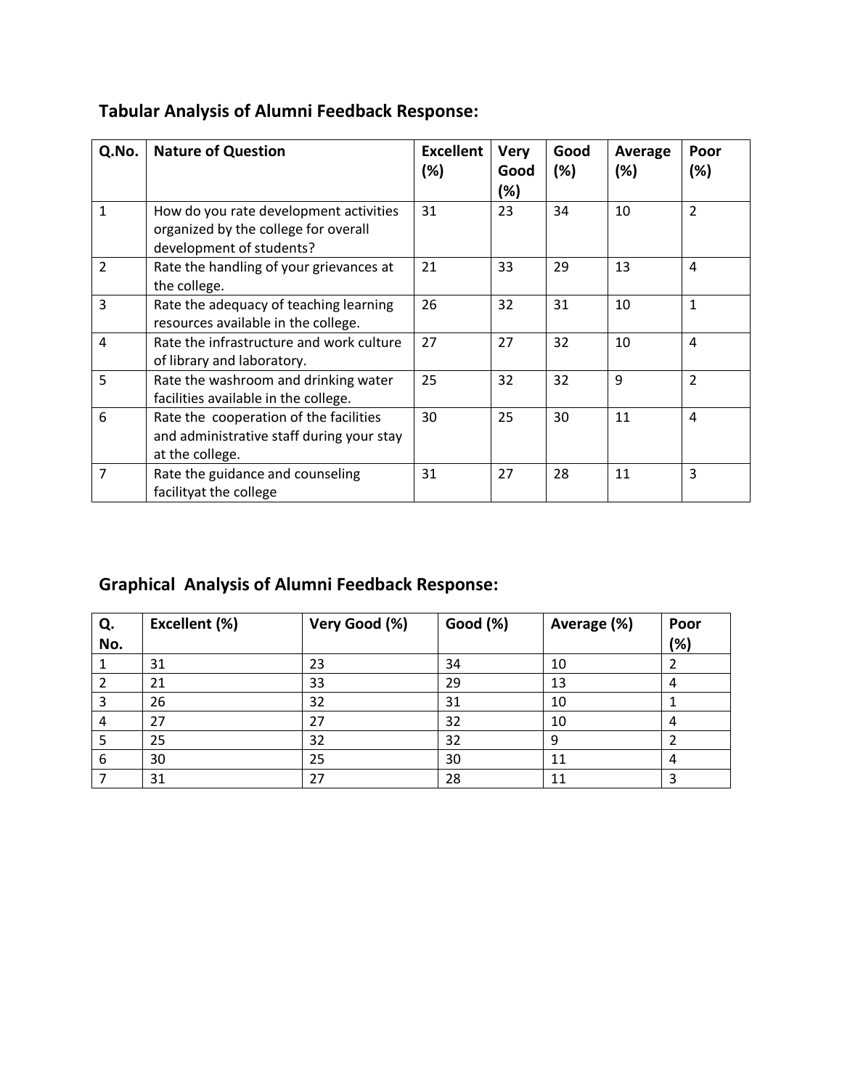| Q.No.          | <b>Nature of Question</b>                                                                                  | <b>Excellent</b><br>(%) | <b>Very</b><br>Good<br>(%) | Good<br>(%) | Average<br>(%) | Poor<br>(%)    |
|----------------|------------------------------------------------------------------------------------------------------------|-------------------------|----------------------------|-------------|----------------|----------------|
| $\mathbf{1}$   | How do you rate development activities<br>organized by the college for overall<br>development of students? | 31                      | 23                         | 34          | 10             | $\overline{2}$ |
| $\overline{2}$ | Rate the handling of your grievances at<br>the college.                                                    | 21                      | 33                         | 29          | 13             | $\overline{a}$ |
| 3              | Rate the adequacy of teaching learning<br>resources available in the college.                              | 26                      | 32                         | 31          | 10             | $\mathbf{1}$   |
| $\overline{4}$ | Rate the infrastructure and work culture<br>of library and laboratory.                                     | 27                      | 27                         | 32          | 10             | $\overline{4}$ |
| 5              | Rate the washroom and drinking water<br>facilities available in the college.                               | 25                      | 32                         | 32          | 9              | $\overline{2}$ |
| 6              | Rate the cooperation of the facilities<br>and administrative staff during your stay<br>at the college.     | 30                      | 25                         | 30          | 11             | $\overline{4}$ |
| $\overline{7}$ | Rate the guidance and counseling<br>facilityat the college                                                 | 31                      | 27                         | 28          | 11             | 3              |

## **Tabular Analysis of Alumni Feedback Response:**

## **Graphical Analysis of Alumni Feedback Response:**

| Q.  | Excellent (%) | Very Good (%) | Good (%) | Average (%) | Poor |
|-----|---------------|---------------|----------|-------------|------|
| No. |               |               |          |             | (%)  |
| 1   | 31            | 23            | 34       | 10          |      |
| 2   | 21            | 33            | 29       | 13          | 4    |
| 3   | 26            | 32            | 31       | 10          |      |
| 4   | 27            | 27            | 32       | 10          | 4    |
| 5   | 25            | 32            | 32       | 9           |      |
| 6   | 30            | 25            | 30       | 11          | 4    |
|     | 31            | 27            | 28       | 11          | 3    |